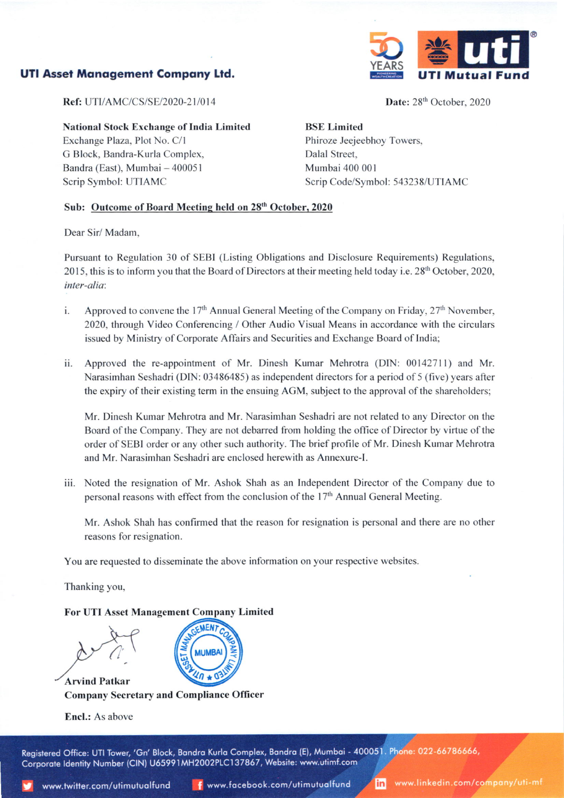# UTI Asset Management Company Ltd.



Date: 28<sup>th</sup> October, 2020

Ref: UTI/AMC/CS/SE/2020-21/014

National Stock Exchange of India Limited

Exchange Plaza, Plot No. C/l G Block. Bandra-Kurla Complex. Bandra (East), Mumbai - 400051 Scrip Symbol: UTIAMC

BSE Limited Phiroze Jeejeebhoy Towers, Dalal Street, Mumbai 400 001 Scrip Code/Symbol: 543238/UTIAMC

## Sub: Outcome of Board Meeting held on 28<sup>th</sup> October, 2020

Dear Sir/ Madam.

Pursuant to Regulation 30 of SEBI (Listing Obligations and Disclosure Requirements) Regulations, 2015, this is to inform you that the Board of Directors at their meeting held today i.e. 28'h October, 2020, inter-alia:

- i. Approved to convene the 17<sup>th</sup> Annual General Meeting of the Company on Friday,  $27<sup>th</sup>$  November, 2020, through Video Conferencing / Other Audio Visual Means in accordance with the circulars issued by Ministry of Corporate Affairs and Securities and Exchange Board of India;
- ii. Approved the re-appointment of Mr. Dinesh Kumar Mehrotra (DlN: 0014271l) and Mr. Narasimhan Seshadri (DN: 03486485) as independent directors for a period of 5 (five) years after the expiry of their existing term in the ensuing AGM, subject to the approval of the shareholders;

Mr. Dinesh Kumar Mehrotra and Mr. Narasimhan Seshadri are not related to any Director on the Board of the Company. They are not debarred from holding the office of Director by virtue of the order of SEBI order or any other such authority. The brief profile of Mr. Dinesh Kumar Mehrotra and Mr. Narasimhan Seshadri are enclosed herewith as Annexure-1.

iii. Noted the resignation of Mr. Ashok Shah as an Independent Director of the Company due to personal reasons with effect from the conclusion of the 17<sup>th</sup> Annual General Meeting.

Mr. Ashok Shah has confirmed that the reason for resignation is personal and there are no other reasons for resignation.

You are requested to disseminate the above information on your respective websites.

Thanking you,

# For UTI Asset Management Company Limited

SEMENT COMP  $\frac{m}{4}$ (MUMBAI)

Company Secretary and Compliance Officer

**Encl.:** As above

**Arvind Patkar** 

Registered Office: UTI Tower, 'Gn' Block, Bandra Kurla Complex, Bandra (E), Mumbai - 400051. Phone: 022-66786666, Corporate Identity Number (CIN) U65991MH2002PLC137867, Website: www.utimf.com

www.linkedin.com/company/uti-mf in